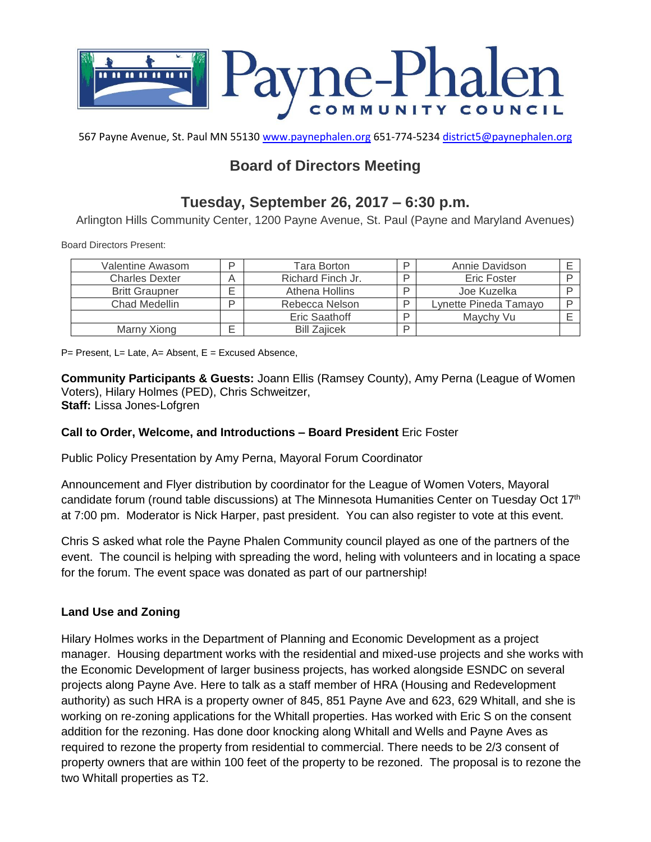

567 Payne Avenue, St. Paul MN 55130 [www.paynephalen.org](http://www.paynephalen.org/) 651-774-5234 [district5@paynephalen.org](mailto:district5@paynephalen.org)

# **Board of Directors Meeting**

# **Tuesday, September 26, 2017 – 6:30 p.m.**

Arlington Hills Community Center, 1200 Payne Avenue, St. Paul (Payne and Maryland Avenues)

Board Directors Present:

| Valentine Awasom      | D      | Tara Borton         | ח | Annie Davidson        |  |
|-----------------------|--------|---------------------|---|-----------------------|--|
| <b>Charles Dexter</b> |        | Richard Finch Jr.   | ם | <b>Eric Foster</b>    |  |
| <b>Britt Graupner</b> |        | Athena Hollins      | D | Joe Kuzelka           |  |
| Chad Medellin         | O      | Rebecca Nelson      | D | Lynette Pineda Tamayo |  |
|                       |        | Eric Saathoff       | D | Maychy Vu             |  |
| Marny Xiong           | –<br>⋍ | <b>Bill Zaiicek</b> | D |                       |  |

 $P=$  Present, L= Late, A= Absent, E = Excused Absence,

**Community Participants & Guests:** Joann Ellis (Ramsey County), Amy Perna (League of Women Voters), Hilary Holmes (PED), Chris Schweitzer, **Staff:** Lissa Jones-Lofgren

# **Call to Order, Welcome, and Introductions – Board President** Eric Foster

Public Policy Presentation by Amy Perna, Mayoral Forum Coordinator

Announcement and Flyer distribution by coordinator for the League of Women Voters, Mayoral candidate forum (round table discussions) at The Minnesota Humanities Center on Tuesday Oct 17th at 7:00 pm. Moderator is Nick Harper, past president. You can also register to vote at this event.

Chris S asked what role the Payne Phalen Community council played as one of the partners of the event. The council is helping with spreading the word, heling with volunteers and in locating a space for the forum. The event space was donated as part of our partnership!

# **Land Use and Zoning**

Hilary Holmes works in the Department of Planning and Economic Development as a project manager. Housing department works with the residential and mixed-use projects and she works with the Economic Development of larger business projects, has worked alongside ESNDC on several projects along Payne Ave. Here to talk as a staff member of HRA (Housing and Redevelopment authority) as such HRA is a property owner of 845, 851 Payne Ave and 623, 629 Whitall, and she is working on re-zoning applications for the Whitall properties. Has worked with Eric S on the consent addition for the rezoning. Has done door knocking along Whitall and Wells and Payne Aves as required to rezone the property from residential to commercial. There needs to be 2/3 consent of property owners that are within 100 feet of the property to be rezoned. The proposal is to rezone the two Whitall properties as T2.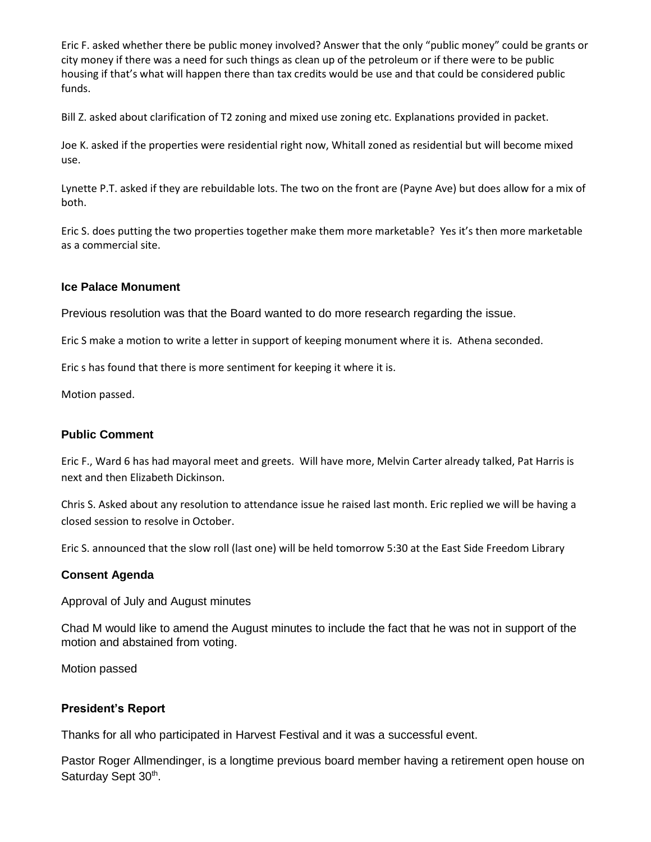Eric F. asked whether there be public money involved? Answer that the only "public money" could be grants or city money if there was a need for such things as clean up of the petroleum or if there were to be public housing if that's what will happen there than tax credits would be use and that could be considered public funds.

Bill Z. asked about clarification of T2 zoning and mixed use zoning etc. Explanations provided in packet.

Joe K. asked if the properties were residential right now, Whitall zoned as residential but will become mixed use.

Lynette P.T. asked if they are rebuildable lots. The two on the front are (Payne Ave) but does allow for a mix of both.

Eric S. does putting the two properties together make them more marketable? Yes it's then more marketable as a commercial site.

### **Ice Palace Monument**

Previous resolution was that the Board wanted to do more research regarding the issue.

Eric S make a motion to write a letter in support of keeping monument where it is. Athena seconded.

Eric s has found that there is more sentiment for keeping it where it is.

Motion passed.

#### **Public Comment**

Eric F., Ward 6 has had mayoral meet and greets. Will have more, Melvin Carter already talked, Pat Harris is next and then Elizabeth Dickinson.

Chris S. Asked about any resolution to attendance issue he raised last month. Eric replied we will be having a closed session to resolve in October.

Eric S. announced that the slow roll (last one) will be held tomorrow 5:30 at the East Side Freedom Library

#### **Consent Agenda**

Approval of July and August minutes

Chad M would like to amend the August minutes to include the fact that he was not in support of the motion and abstained from voting.

Motion passed

### **President's Report**

Thanks for all who participated in Harvest Festival and it was a successful event.

Pastor Roger Allmendinger, is a longtime previous board member having a retirement open house on Saturday Sept 30<sup>th</sup>.